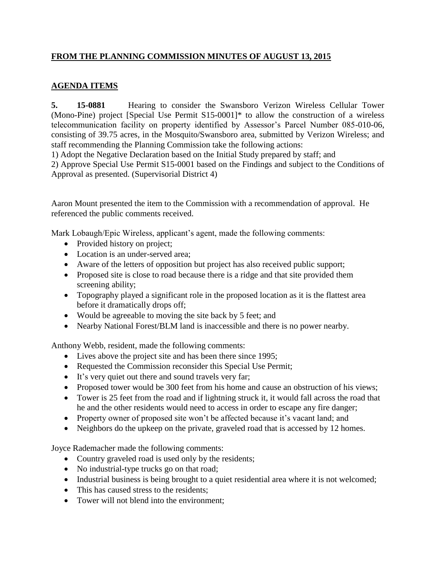## **FROM THE PLANNING COMMISSION MINUTES OF AUGUST 13, 2015**

## **AGENDA ITEMS**

**5. 15-0881** Hearing to consider the Swansboro Verizon Wireless Cellular Tower (Mono-Pine) project [Special Use Permit S15-0001]\* to allow the construction of a wireless telecommunication facility on property identified by Assessor's Parcel Number 085-010-06, consisting of 39.75 acres, in the Mosquito/Swansboro area, submitted by Verizon Wireless; and staff recommending the Planning Commission take the following actions:

1) Adopt the Negative Declaration based on the Initial Study prepared by staff; and

2) Approve Special Use Permit S15-0001 based on the Findings and subject to the Conditions of Approval as presented. (Supervisorial District 4)

Aaron Mount presented the item to the Commission with a recommendation of approval. He referenced the public comments received.

Mark Lobaugh/Epic Wireless, applicant's agent, made the following comments:

- Provided history on project;
- Location is an under-served area;
- Aware of the letters of opposition but project has also received public support;
- Proposed site is close to road because there is a ridge and that site provided them screening ability;
- Topography played a significant role in the proposed location as it is the flattest area before it dramatically drops off;
- Would be agreeable to moving the site back by 5 feet; and
- Nearby National Forest/BLM land is inaccessible and there is no power nearby.

Anthony Webb, resident, made the following comments:

- Lives above the project site and has been there since 1995;
- Requested the Commission reconsider this Special Use Permit;
- It's very quiet out there and sound travels very far;
- Proposed tower would be 300 feet from his home and cause an obstruction of his views;
- Tower is 25 feet from the road and if lightning struck it, it would fall across the road that he and the other residents would need to access in order to escape any fire danger;
- Property owner of proposed site won't be affected because it's vacant land; and
- Neighbors do the upkeep on the private, graveled road that is accessed by 12 homes.

Joyce Rademacher made the following comments:

- Country graveled road is used only by the residents;
- No industrial-type trucks go on that road;
- Industrial business is being brought to a quiet residential area where it is not welcomed;
- This has caused stress to the residents;
- Tower will not blend into the environment: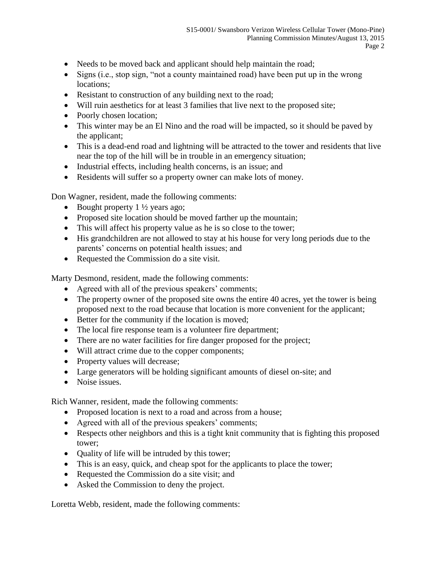- Needs to be moved back and applicant should help maintain the road;
- Signs (i.e., stop sign, "not a county maintained road) have been put up in the wrong locations;
- Resistant to construction of any building next to the road;
- Will ruin aesthetics for at least 3 families that live next to the proposed site;
- Poorly chosen location;
- This winter may be an El Nino and the road will be impacted, so it should be paved by the applicant;
- This is a dead-end road and lightning will be attracted to the tower and residents that live near the top of the hill will be in trouble in an emergency situation;
- Industrial effects, including health concerns, is an issue; and
- Residents will suffer so a property owner can make lots of money.

Don Wagner, resident, made the following comments:

- $\bullet$  Bought property 1 ½ years ago;
- Proposed site location should be moved farther up the mountain;
- This will affect his property value as he is so close to the tower;
- His grandchildren are not allowed to stay at his house for very long periods due to the parents' concerns on potential health issues; and
- Requested the Commission do a site visit.

Marty Desmond, resident, made the following comments:

- Agreed with all of the previous speakers' comments;
- The property owner of the proposed site owns the entire 40 acres, yet the tower is being proposed next to the road because that location is more convenient for the applicant;
- Better for the community if the location is moved;
- The local fire response team is a volunteer fire department;
- There are no water facilities for fire danger proposed for the project;
- Will attract crime due to the copper components;
- Property values will decrease;
- Large generators will be holding significant amounts of diesel on-site; and
- Noise issues.

Rich Wanner, resident, made the following comments:

- Proposed location is next to a road and across from a house;
- Agreed with all of the previous speakers' comments;
- Respects other neighbors and this is a tight knit community that is fighting this proposed tower;
- Quality of life will be intruded by this tower;
- This is an easy, quick, and cheap spot for the applicants to place the tower;
- Requested the Commission do a site visit; and
- Asked the Commission to deny the project.

Loretta Webb, resident, made the following comments: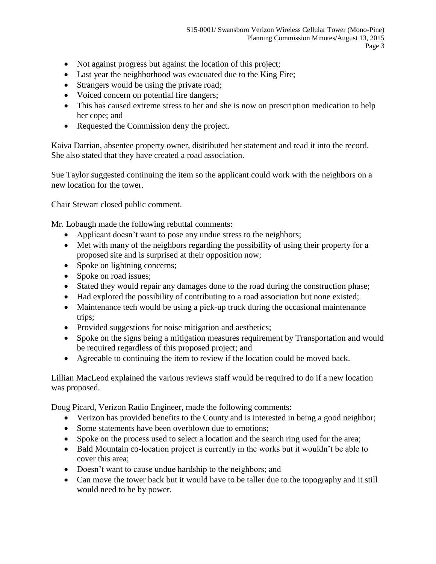- Not against progress but against the location of this project;
- Last year the neighborhood was evacuated due to the King Fire;
- Strangers would be using the private road;
- Voiced concern on potential fire dangers;
- This has caused extreme stress to her and she is now on prescription medication to help her cope; and
- Requested the Commission deny the project.

Kaiva Darrian, absentee property owner, distributed her statement and read it into the record. She also stated that they have created a road association.

Sue Taylor suggested continuing the item so the applicant could work with the neighbors on a new location for the tower.

Chair Stewart closed public comment.

Mr. Lobaugh made the following rebuttal comments:

- Applicant doesn't want to pose any undue stress to the neighbors;
- Met with many of the neighbors regarding the possibility of using their property for a proposed site and is surprised at their opposition now;
- Spoke on lightning concerns;
- Spoke on road issues;
- Stated they would repair any damages done to the road during the construction phase;
- Had explored the possibility of contributing to a road association but none existed;
- Maintenance tech would be using a pick-up truck during the occasional maintenance trips;
- Provided suggestions for noise mitigation and aesthetics;
- Spoke on the signs being a mitigation measures requirement by Transportation and would be required regardless of this proposed project; and
- Agreeable to continuing the item to review if the location could be moved back.

Lillian MacLeod explained the various reviews staff would be required to do if a new location was proposed.

Doug Picard, Verizon Radio Engineer, made the following comments:

- Verizon has provided benefits to the County and is interested in being a good neighbor;
- Some statements have been overblown due to emotions;
- Spoke on the process used to select a location and the search ring used for the area;
- Bald Mountain co-location project is currently in the works but it wouldn't be able to cover this area;
- Doesn't want to cause undue hardship to the neighbors; and
- Can move the tower back but it would have to be taller due to the topography and it still would need to be by power.